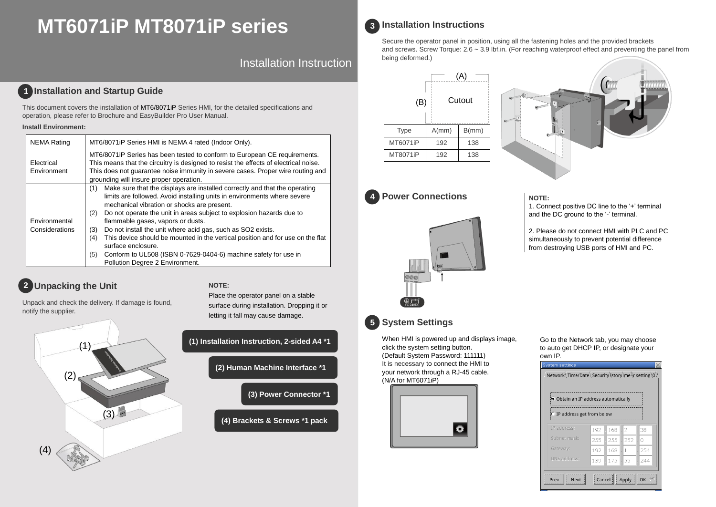# **MT6071iP MT8071iP series**

Installation Instruction

## **Installation and Startup Guide 1**

This document covers the installation of MT6/8071iP Series HMI, for the detailed specifications and operation, please refer to Brochure and EasyBuilder Pro User Manual.

#### **Install Environment:**

| <b>NEMA Rating</b>              | MT6/8071 iP Series HMI is NEMA 4 rated (Indoor Only).                                                                                                                                                                                                                                                                                                                                                                                                                                                                                                                                                                             |  |  |
|---------------------------------|-----------------------------------------------------------------------------------------------------------------------------------------------------------------------------------------------------------------------------------------------------------------------------------------------------------------------------------------------------------------------------------------------------------------------------------------------------------------------------------------------------------------------------------------------------------------------------------------------------------------------------------|--|--|
| Electrical<br>Environment       | MT6/8071iP Series has been tested to conform to European CE requirements.<br>This means that the circuitry is designed to resist the effects of electrical noise.<br>This does not guarantee noise immunity in severe cases. Proper wire routing and<br>grounding will insure proper operation.                                                                                                                                                                                                                                                                                                                                   |  |  |
| Environmental<br>Considerations | Make sure that the displays are installed correctly and that the operating<br>(1)<br>limits are followed. Avoid installing units in environments where severe<br>mechanical vibration or shocks are present.<br>Do not operate the unit in areas subject to explosion hazards due to<br>(2)<br>flammable gases, vapors or dusts.<br>Do not install the unit where acid gas, such as SO2 exists.<br>3)<br>This device should be mounted in the vertical position and for use on the flat<br>(4)<br>surface enclosure.<br>Conform to UL508 (ISBN 0-7629-0404-6) machine safety for use in<br>(5)<br>Pollution Degree 2 Environment. |  |  |

# **2** Unpacking the Unit **All and Struck Struck Struck** NOTE:

Unpack and check the delivery. If damage is found, notify the supplier.



Place the operator panel on a stable surface during installation. Dropping it or letting it fall may cause damage.



#### **Installation Instructions 3**

Secure the operator panel in position, using all the fastening holes and the provided brackets and screws. Screw Torque: 2.6 ~ 3.9 lbf.in. (For reaching waterproof effect and preventing the panel from being deformed.)

Type A(mm) B(mm) MT6071iP 192 138 MT8071iP 192 138 (A) (B) Cutout







1. Connect positive DC line to the '+' terminal and the DC ground to the '-' terminal.

2. Please do not connect HMI with PLC and PC simultaneously to prevent potential difference from destroying USB ports of HMI and PC.

## **System Settings 5**

When HMI is powered up and displays image, click the system setting button. (Default System Password: 111111) It is necessary to connect the HMI to your network through a RJ-45 cable. (N/A for MT6071iP)



Go to the Network tab, you may choose to auto get DHCP IP, or designate your own IP.

| <b>Obtain an IP address automatically</b>    |                                                  |  |  |
|----------------------------------------------|--------------------------------------------------|--|--|
|                                              |                                                  |  |  |
| O IP address get from below                  |                                                  |  |  |
| 192 168<br>12<br>38                          |                                                  |  |  |
| 252<br>1255<br>255<br>Ω                      |                                                  |  |  |
| 192 168<br>$\overline{1}$<br>254             |                                                  |  |  |
| 139<br>.175<br>55<br>244                     |                                                  |  |  |
|                                              |                                                  |  |  |
| $\overline{\bigcap K}$<br>Apply II<br>Cancel | 75 I                                             |  |  |
|                                              | Network Time/Date Security istory me r setting 0 |  |  |